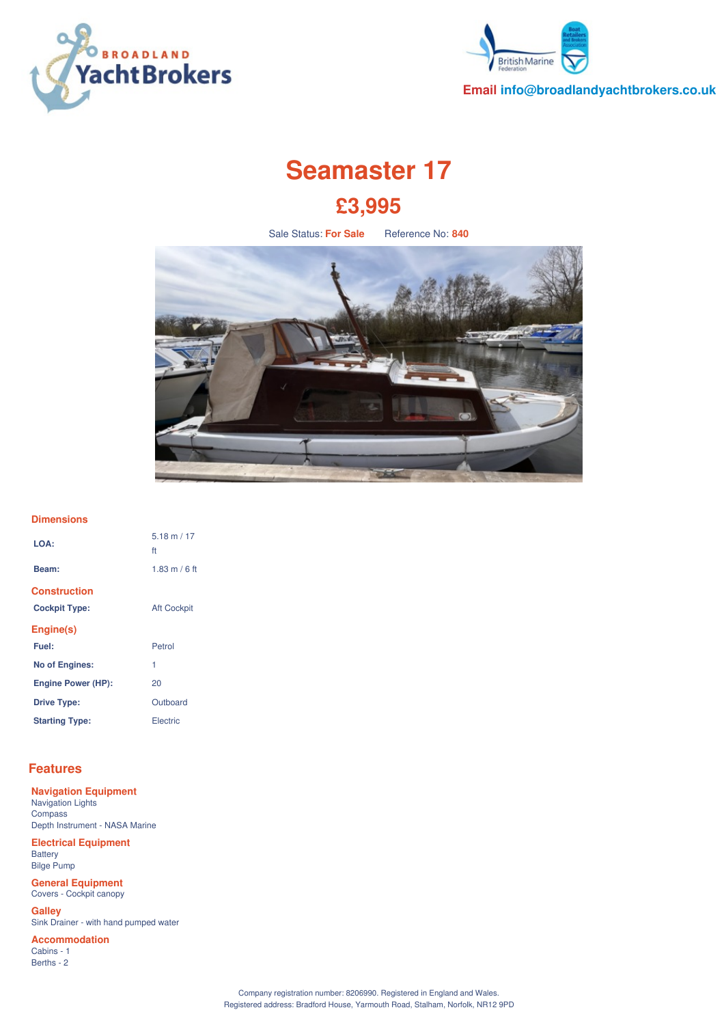



**Email info@broadlandyachtbrokers.co.uk**

# **Seamaster 17 £3,995**

Sale Status: **For Sale** Reference No: **840**



#### **Dimensions**

| LOA:                      | $5.18 \text{ m} / 17$<br>ft |
|---------------------------|-----------------------------|
| Beam:                     | 1.83 m / 6 ft               |
| <b>Construction</b>       |                             |
| <b>Cockpit Type:</b>      | <b>Aft Cockpit</b>          |
| Engine(s)                 |                             |
| Fuel:                     | Petrol                      |
| <b>No of Engines:</b>     | 1                           |
| <b>Engine Power (HP):</b> | 20                          |
| <b>Drive Type:</b>        | Outboard                    |
| <b>Starting Type:</b>     | Electric                    |

#### **Features**

**Navigation Equipment** Navigation Lights **Compass** Depth Instrument - NASA Marine

**Electrical Equipment Battery** Bilge Pump

**General Equipment** Covers - Cockpit canopy

**Galley** Sink Drainer - with hand pumped water

**Accommodation** Cabins - 1 Berths - 2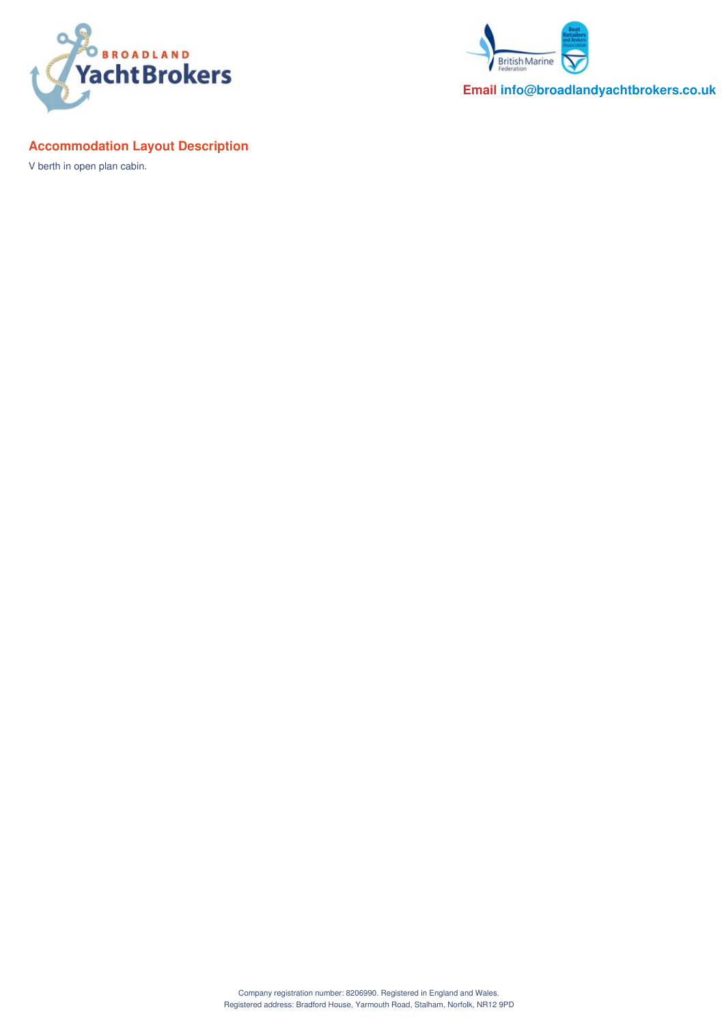



**Email info@broadlandyachtbrokers.co.uk**

# **Accommodation Layout Description**

V berth in open plan cabin.